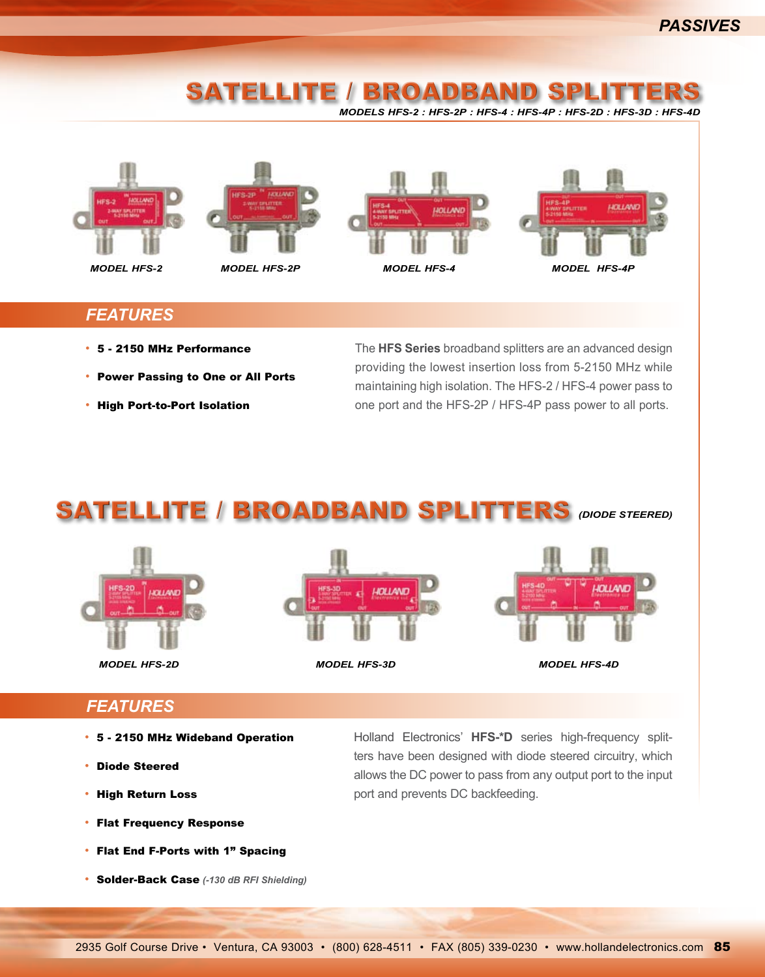### ELLITE / BROADBAND S *Models HFS-2 : HFS-2P : HFS-4 : HFS-4P : HFS-2D : HFS-3D : HFS-4D*





*model HFS-2 model HFS-2P*





#### *Features*

- 5 2150 MHz Performance
- Power Passing to One or All Ports
- High Port-to-Port Isolation

The **HFS Series** broadband splitters are an advanced design providing the lowest insertion loss from 5-2150 MHz while maintaining high isolation. The HFS-2 / HFS-4 power pass to one port and the HFS-2P / HFS-4P pass power to all ports.

## SAtellite / broadband splitters *(Diode Steered)*

![](_page_0_Picture_13.jpeg)

*model HFS-2D model HFS-3D model HFS-4D*

![](_page_0_Picture_15.jpeg)

![](_page_0_Picture_17.jpeg)

### *Features*

- 5 2150 MHz Wideband Operation
- Diode Steered
- High Return Loss
- Flat Frequency Response
- Flat End F-Ports with 1" Spacing
- Solder-Back Case *(-130 dB RFI Shielding)*

Holland Electronics' **HFS-\*D** series high-frequency splitters have been designed with diode steered circuitry, which allows the DC power to pass from any output port to the input port and prevents DC backfeeding.